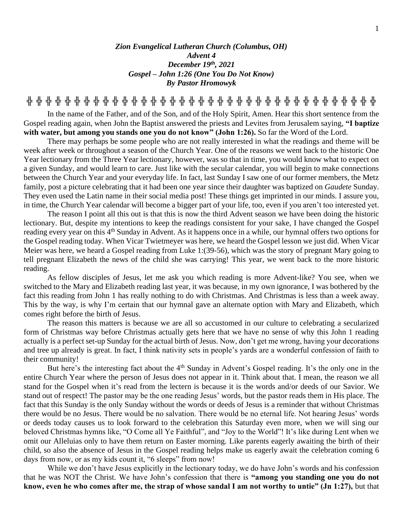## *Zion Evangelical Lutheran Church (Columbus, OH) Advent 4 December 19 th, 2021 Gospel – John 1:26 (One You Do Not Know) By Pastor Hromowyk*

**╬ ╬ ╬ ╬ ╬ ╬ ╬ ╬ ╬ ╬ ╬ ╬ ╬ ╬ ╬ ╬ ╬ ╬ ╬ ╬ ╬ ╬ ╬ ╬ ╬ ╬ ╬ ╬ ╬ ╬ ╬ ╬ ╬ ╬ ╬ ╬ ╬**

In the name of the Father, and of the Son, and of the Holy Spirit, Amen. Hear this short sentence from the Gospel reading again, when John the Baptist answered the priests and Levites from Jerusalem saying, **"I baptize with water, but among you stands one you do not know" (John 1:26).** So far the Word of the Lord.

There may perhaps be some people who are not really interested in what the readings and theme will be week after week or throughout a season of the Church Year. One of the reasons we went back to the historic One Year lectionary from the Three Year lectionary, however, was so that in time, you would know what to expect on a given Sunday, and would learn to care. Just like with the secular calendar, you will begin to make connections between the Church Year and your everyday life. In fact, last Sunday I saw one of our former members, the Metz family, post a picture celebrating that it had been one year since their daughter was baptized on *Gaudete* Sunday. They even used the Latin name in their social media post! These things get imprinted in our minds. I assure you, in time, the Church Year calendar will become a bigger part of your life, too, even if you aren't too interested yet.

The reason I point all this out is that this is now the third Advent season we have been doing the historic lectionary. But, despite my intentions to keep the readings consistent for your sake, I have changed the Gospel reading every year on this 4<sup>th</sup> Sunday in Advent. As it happens once in a while, our hymnal offers two options for the Gospel reading today. When Vicar Twietmeyer was here, we heard the Gospel lesson we just did. When Vicar Meier was here, we heard a Gospel reading from Luke 1:(39-56), which was the story of pregnant Mary going to tell pregnant Elizabeth the news of the child she was carrying! This year, we went back to the more historic reading.

As fellow disciples of Jesus, let me ask you which reading is more Advent-like? You see, when we switched to the Mary and Elizabeth reading last year, it was because, in my own ignorance, I was bothered by the fact this reading from John 1 has really nothing to do with Christmas. And Christmas is less than a week away. This by the way, is why I'm certain that our hymnal gave an alternate option with Mary and Elizabeth, which comes right before the birth of Jesus.

The reason this matters is because we are all so accustomed in our culture to celebrating a secularized form of Christmas way before Christmas actually gets here that we have no sense of why this John 1 reading actually is a perfect set-up Sunday for the actual birth of Jesus. Now, don't get me wrong, having your decorations and tree up already is great. In fact, I think nativity sets in people's yards are a wonderful confession of faith to their community!

But here's the interesting fact about the 4<sup>th</sup> Sunday in Advent's Gospel reading. It's the only one in the entire Church Year where the person of Jesus does not appear in it. Think about that. I mean, the reason we all stand for the Gospel when it's read from the lectern is because it is the words and/or deeds of our Savior. We stand out of respect! The pastor may be the one reading Jesus' words, but the pastor reads them in His place. The fact that this Sunday is the only Sunday without the words or deeds of Jesus is a reminder that without Christmas there would be no Jesus. There would be no salvation. There would be no eternal life. Not hearing Jesus' words or deeds today causes us to look forward to the celebration this Saturday even more, when we will sing our beloved Christmas hymns like, "O Come all Ye Faithful", and "Joy to the World"! It's like during Lent when we omit our Alleluias only to have them return on Easter morning. Like parents eagerly awaiting the birth of their child, so also the absence of Jesus in the Gospel reading helps make us eagerly await the celebration coming 6 days from now, or as my kids count it, "6 sleeps" from now!

While we don't have Jesus explicitly in the lectionary today, we do have John's words and his confession that he was NOT the Christ. We have John's confession that there is **"among you standing one you do not know, even he who comes after me, the strap of whose sandal I am not worthy to untie" (Jn 1:27),** but that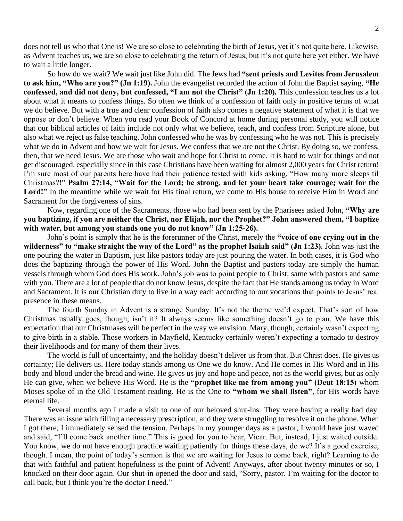does not tell us who that One is! We are so close to celebrating the birth of Jesus, yet it's not quite here. Likewise, as Advent teaches us, we are so close to celebrating the return of Jesus, but it's not quite here yet either. We have to wait a little longer.

So how do we wait? We wait just like John did. The Jews had **"sent priests and Levites from Jerusalem to ask him, "Who are you?" (Jn 1:19).** John the evangelist recorded the action of John the Baptist saying, **"He confessed, and did not deny, but confessed, "I am not the Christ" (Jn 1:20).** This confession teaches us a lot about what it means to confess things. So often we think of a confession of faith only in positive terms of what we do believe. But with a true and clear confession of faith also comes a negative statement of what it is that we oppose or don't believe. When you read your Book of Concord at home during personal study, you will notice that our biblical articles of faith include not only what we believe, teach, and confess from Scripture alone, but also what we reject as false teaching. John confessed who he was by confessing who he was not. This is precisely what we do in Advent and how we wait for Jesus. We confess that we are not the Christ. By doing so, we confess, then, that we need Jesus. We are those who wait and hope for Christ to come. It is hard to wait for things and not get discouraged, especially since in this case Christians have been waiting for almost 2,000 years for Christ return! I'm sure most of our parents here have had their patience tested with kids asking, "How many more sleeps til Christmas?!" **Psalm 27:14, "Wait for the Lord; be strong, and let your heart take courage; wait for the**  Lord!" In the meantime while we wait for His final return, we come to His house to receive Him in Word and Sacrament for the forgiveness of sins.

Now, regarding one of the Sacraments, those who had been sent by the Pharisees asked John, **"Why are you baptizing, if you are neither the Christ, nor Elijah, nor the Prophet?" John answered them, "I baptize with water, but among you stands one you do not know" (Jn 1:25-26).** 

John's point is simply that he is the forerunner of the Christ, merely the **"voice of one crying out in the wilderness" to "make straight the way of the Lord" as the prophet Isaiah said" (Jn 1:23).** John was just the one pouring the water in Baptism, just like pastors today are just pouring the water. In both cases, it is God who does the baptizing through the power of His Word. John the Baptist and pastors today are simply the human vessels through whom God does His work. John's job was to point people to Christ; same with pastors and same with you. There are a lot of people that do not know Jesus, despite the fact that He stands among us today in Word and Sacrament. It is our Christian duty to live in a way each according to our vocations that points to Jesus' real presence in these means.

The fourth Sunday in Advent is a strange Sunday. It's not the theme we'd expect. That's sort of how Christmas usually goes, though, isn't it? It always seems like something doesn't go to plan. We have this expectation that our Christmases will be perfect in the way we envision. Mary, though, certainly wasn't expecting to give birth in a stable. Those workers in Mayfield, Kentucky certainly weren't expecting a tornado to destroy their livelihoods and for many of them their lives.

The world is full of uncertainty, and the holiday doesn't deliver us from that. But Christ does. He gives us certainty; He delivers us. Here today stands among us One we do know. And He comes in His Word and in His body and blood under the bread and wine. He gives us joy and hope and peace, not as the world gives, but as only He can give, when we believe His Word. He is the **"prophet like me from among you" (Deut 18:15)** whom Moses spoke of in the Old Testament reading. He is the One to **"whom we shall listen"**, for His words have eternal life.

Several months ago I made a visit to one of our beloved shut-ins. They were having a really bad day. There was an issue with filling a necessary prescription, and they were struggling to resolve it on the phone. When I got there, I immediately sensed the tension. Perhaps in my younger days as a pastor, I would have just waved and said, "I'll come back another time." This is good for you to hear, Vicar. But, instead, I just waited outside. You know, we do not have enough practice waiting patiently for things these days, do we? It's a good exercise, though. I mean, the point of today's sermon is that we are waiting for Jesus to come back, right? Learning to do that with faithful and patient hopefulness is the point of Advent! Anyways, after about twenty minutes or so, I knocked on their door again. Our shut-in opened the door and said, "Sorry, pastor. I'm waiting for the doctor to call back, but I think you're the doctor I need."